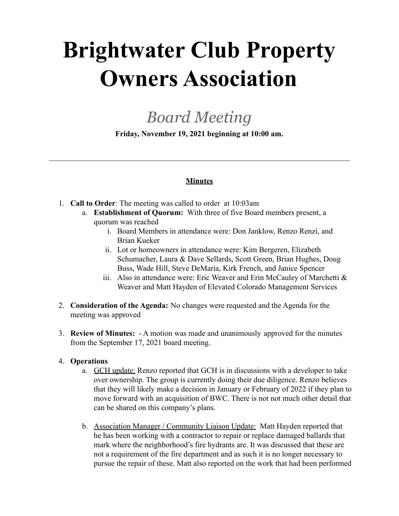# **Brightwater Club Property Owners Association**

## *Board Meeting*

**Friday, November 19, 2021 beginning at 10:00 am.**

### **Minutes**

- 1. **Call to Order**: The meeting was called to order at 10:03am
	- a. **Establishment of Quorum:** With three of five Board members present, a quorum was reached
		- i. Board Members in attendance were: Don Janklow, Renzo Renzi, and Brian Kueker
		- ii. Lot or homeowners in attendance were: Kim Bergeren, Elizabeth Schumacher, Laura & Dave Sellards, Scott Green, Brian Hughes, Doug Buss, Wade Hill, Steve DeMaria, Kirk French, and Janice Spencer
		- iii. Also in attendance were: Eric Weaver and Erin McCauley of Marchetti  $\&$ Weaver and Matt Hayden of Elevated Colorado Management Services
- 2. **Consideration of the Agenda:** No changes were requested and the Agenda for the meeting was approved
- 3. **Review of Minutes:** A motion was made and unanimously approved for the minutes from the September 17, 2021 board meeting.

### 4. **Operations**

- a. GCH update: Renzo reported that GCH is in discussions with a developer to take over ownership. The group is currently doing their due diligence. Renzo believes that they will likely make a decision in January or February of 2022 if they plan to move forward with an acquisition of BWC. There is not not much other detail that can be shared on this company's plans.
- b. Association Manager / Community Liaison Update: Matt Hayden reported that he has been working with a contractor to repair or replace damaged ballards that mark where the neighborhood's fire hydrants are. It was discussed that these are not a requirement of the fire department and as such it is no longer necessary to pursue the repair of these. Matt also reported on the work that had been performed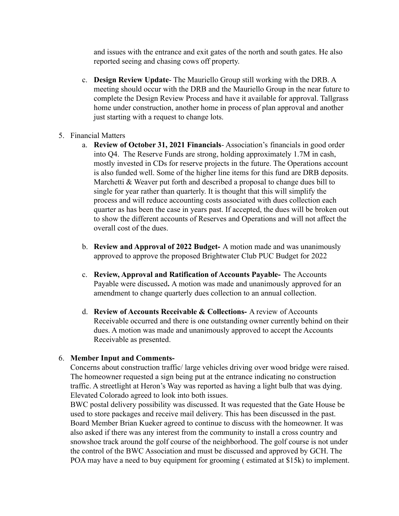and issues with the entrance and exit gates of the north and south gates. He also reported seeing and chasing cows off property.

- c. **Design Review Update** The Mauriello Group still working with the DRB. A meeting should occur with the DRB and the Mauriello Group in the near future to complete the Design Review Process and have it available for approval. Tallgrass home under construction, another home in process of plan approval and another just starting with a request to change lots.
- 5. Financial Matters
	- a. **Review of October 31, 2021 Financials** Association's financials in good order into Q4. The Reserve Funds are strong, holding approximately 1.7M in cash, mostly invested in CDs for reserve projects in the future. The Operations account is also funded well. Some of the higher line items for this fund are DRB deposits. Marchetti & Weaver put forth and described a proposal to change dues bill to single for year rather than quarterly. It is thought that this will simplify the process and will reduce accounting costs associated with dues collection each quarter as has been the case in years past. If accepted, the dues will be broken out to show the different accounts of Reserves and Operations and will not affect the overall cost of the dues.
	- b. **Review and Approval of 2022 Budget-** A motion made and was unanimously approved to approve the proposed Brightwater Club PUC Budget for 2022
	- c. **Review, Approval and Ratification of Accounts Payable-** The Accounts Payable were discussed**.** A motion was made and unanimously approved for an amendment to change quarterly dues collection to an annual collection.
	- d. **Review of Accounts Receivable & Collections-** A review of Accounts Receivable occurred and there is one outstanding owner currently behind on their dues. A motion was made and unanimously approved to accept the Accounts Receivable as presented.

#### 6. **Member Input and Comments-**

Concerns about construction traffic/ large vehicles driving over wood bridge were raised. The homeowner requested a sign being put at the entrance indicating no construction traffic. A streetlight at Heron's Way was reported as having a light bulb that was dying. Elevated Colorado agreed to look into both issues.

BWC postal delivery possibility was discussed. It was requested that the Gate House be used to store packages and receive mail delivery. This has been discussed in the past. Board Member Brian Kueker agreed to continue to discuss with the homeowner. It was also asked if there was any interest from the community to install a cross country and snowshoe track around the golf course of the neighborhood. The golf course is not under the control of the BWC Association and must be discussed and approved by GCH. The POA may have a need to buy equipment for grooming ( estimated at \$15k) to implement.